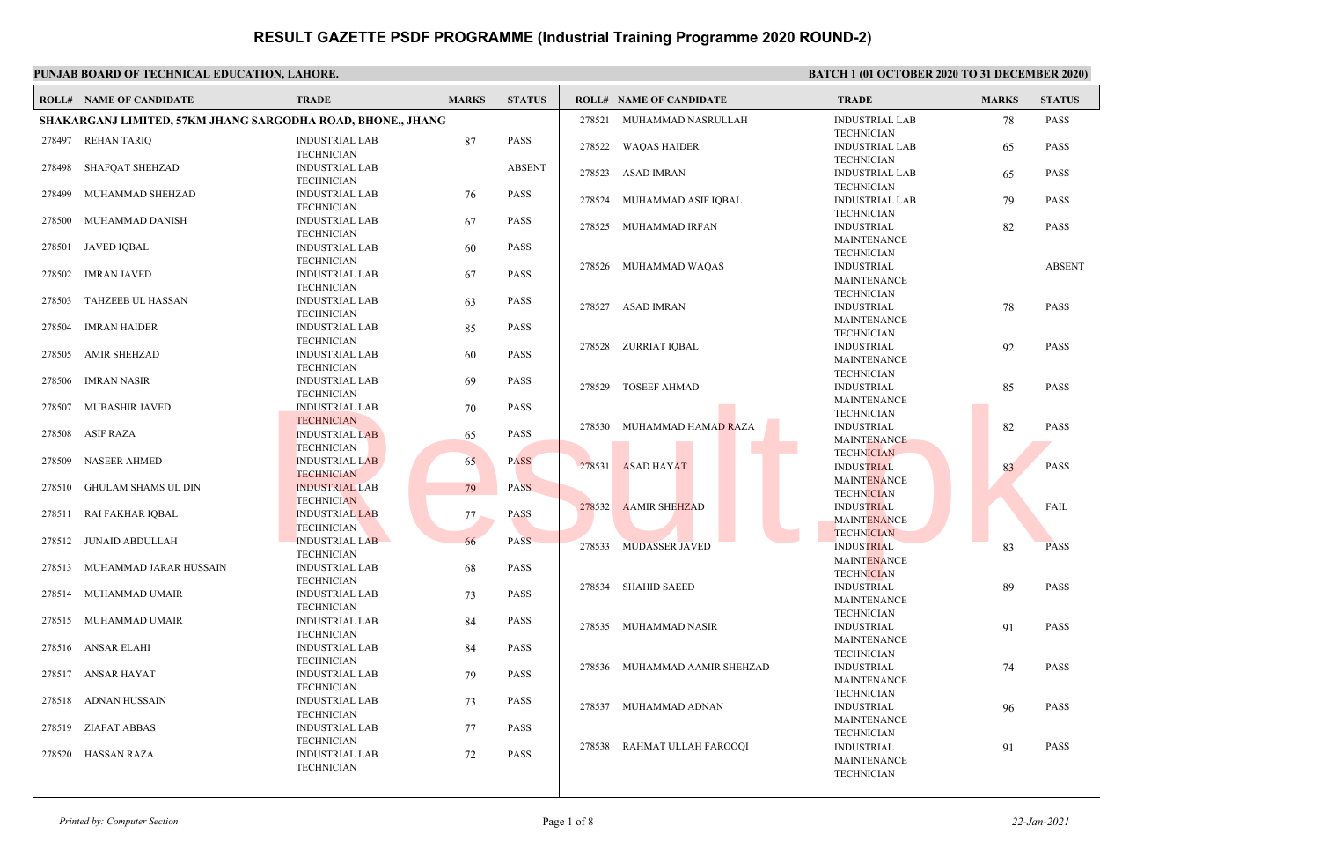#### **PUNJAB BOARD OF TECHNICAL EDUCATION, LAHORE. BATCH 1 (01 OCTOBER 2020 TO 31 DECEMBER 2020) ROLL# NAME OF CANDIDATE TRADE MARKS STATUS ROLL# NAME OF CANDIDATE TRADE MARKS STATUS SHAKARGANJ LIMITED, 57KM JHANG SARGODHA ROAD, BHONE,, JHANG** INDUSTRIAL LAB 87 PASS **TECHNICIAN**  278497 REHAN TARIQ INDUSTRIAL LAB ABSENT TECHNICIAN 278498 SHAFQAT SHEHZAD INDUSTRIAL LAB 76 PASS **TECHNICIAN**  278499 MUHAMMAD SHEHZAD INDUSTRIAL LAB 67 PASS TECHNICIAN 278500 MUHAMMAD DANISH INDUSTRIAL LAB 60 PASS **TECHNICIAN**  278501 JAVED IQBAL INDUSTRIAL LAB 67 PASS **TECHNICIAN**  278502 IMRAN JAVED INDUSTRIAL LAB 63 PASS **TECHNICIAN**  278503 TAHZEEB UL HASSAN INDUSTRIAL LAB 85 PASS **TECHNICIAN**  278504 IMRAN HAIDER INDUSTRIAL LAB 60 PASS TECHNICIAN 278505 AMIR SHEHZAD INDUSTRIAL LAB 69 PASS **TECHNICIAN**  278506 IMRAN NASIR INDUSTRIAL LAB 70 PASS **TECHNICIAN**  278507 MUBASHIR JAVED INDUSTRIAL LAB 65 PASS **TECHNICIAN**  278508 ASIF RAZA INDUSTRIAL LAB 65 PASS **TECHNICIAN**  278509 NASEER AHMED INDUSTRIAL LAB 79 PASS **TECHNICIAN**  278510 GHULAM SHAMS UL DIN INDUSTRIAL LAB 77 PASS **TECHNICIAN**  278511 RAI FAKHAR IQBAL INDUSTRIAL LAB 66 PASS **TECHNICIAN**  278512 JUNAID ABDULLAH INDUSTRIAL LAB 68 PASS TECHNICIAN 278513 MUHAMMAD JARAR HUSSAIN INDUSTRIAL LAB 73 PASS **TECHNICIAN**  278514 MUHAMMAD UMAIR INDUSTRIAL LAB 84 PASS TECHNICIAN 278515 MUHAMMAD UMAIR INDUSTRIAL LAB 84 PASS **TECHNICIAN**  278516 ANSAR ELAHI INDUSTRIAL LAB 79 PASS TECHNICIAN 278517 ANSAR HAYAT INDUSTRIAL LAB 73 PASS **TECHNICIAN**  278518 ADNAN HUSSAIN INDUSTRIAL LAB 77 PASS **TECHNICIAN**  278519 ZIAFAT ABBAS INDUSTRIAL LAB 72 PASS TECHNICIAN 278520 HASSAN RAZA INDUSTRIAL LAB 78 PASS **TECHNICIAN**  278521 MUHAMMAD NASRULLAH INDUSTRIAL LAB 65 PASS TECHNICIAN 278522 WAQAS HAIDER INDUSTRIAL LAB 65 PASS TECHNICIAN 278523 ASAD IMRAN INDUSTRIAL LAB 79 PASS TECHNICIAN 278524 MUHAMMAD ASIF IQBAL INDUSTRIAL 82 PASS MAINTENANCE TECHNICIAN 278525 MUHAMMAD IRFAN INDUSTRIAL ABSENT MAINTENANCE **TECHNICIAN**  278526 MUHAMMAD WAQAS INDUSTRIAL 78 PASS MAINTENANCE **TECHNICIAN**  278527 ASAD IMRAN INDUSTRIAL 92 PASS MAINTENANCE TECHNICIAN 278528 ZURRIAT IQBAL INDUSTRIAL 85 PASS MAINTENANCE TECHNICIAN 278529 TOSEEF AHMAD INDUSTRIAL 82 PASS MAINTENANCE **TECHNICIAN**  278530 MUHAMMAD HAMAD RAZA INDUSTRIAL 83 PASS MAINTENANCE **TECHNICIAN**  278531 ASAD HAYAT INDUSTRIAL FAIL MAINTENANCE **TECHNICIAN**  278532 AAMIR SHEHZAD INDUSTRIAL 83 PASS MAINTENANCE **TECHNICIAN**  278533 MUDASSER JAVED INDUSTRIAL 89 PASS MAINTENANCE **TECHNICIAN**  278534 SHAHID SAEED INDUSTRIAL 91 PASS MAINTENANCE TECHNICIAN 278535 MUHAMMAD NASIR INDUSTRIAL 74 PASS MAINTENANCE TECHNICIAN 278536 MUHAMMAD AAMIR SHEHZAD INDUSTRIAL 96 PASS MAINTENANCE TECHNICIAN 278537 MUHAMMAD ADNAN INDUSTRIAL 91 PASS MAINTENANCE TECHNICIAN 278538 RAHMAT ULLAH FAROOQI TECHNICIAN<br>
NEWSTRALLAB TO PASS 278530 MUHAMMAD HAMAD RAZA TECHNICIAN<br>
TECHNICIAL AB 65 PASS 278530 MUHAMMAD HAMAD RAZA TECHNICIAN<br>
TECHNICIAN<br>
NEWSTRALLAB 65 PASS 278531 ASAD HAYAT TECHNICIAN<br>
NEWSTRALLAB 179 PASS<br>
TECHNI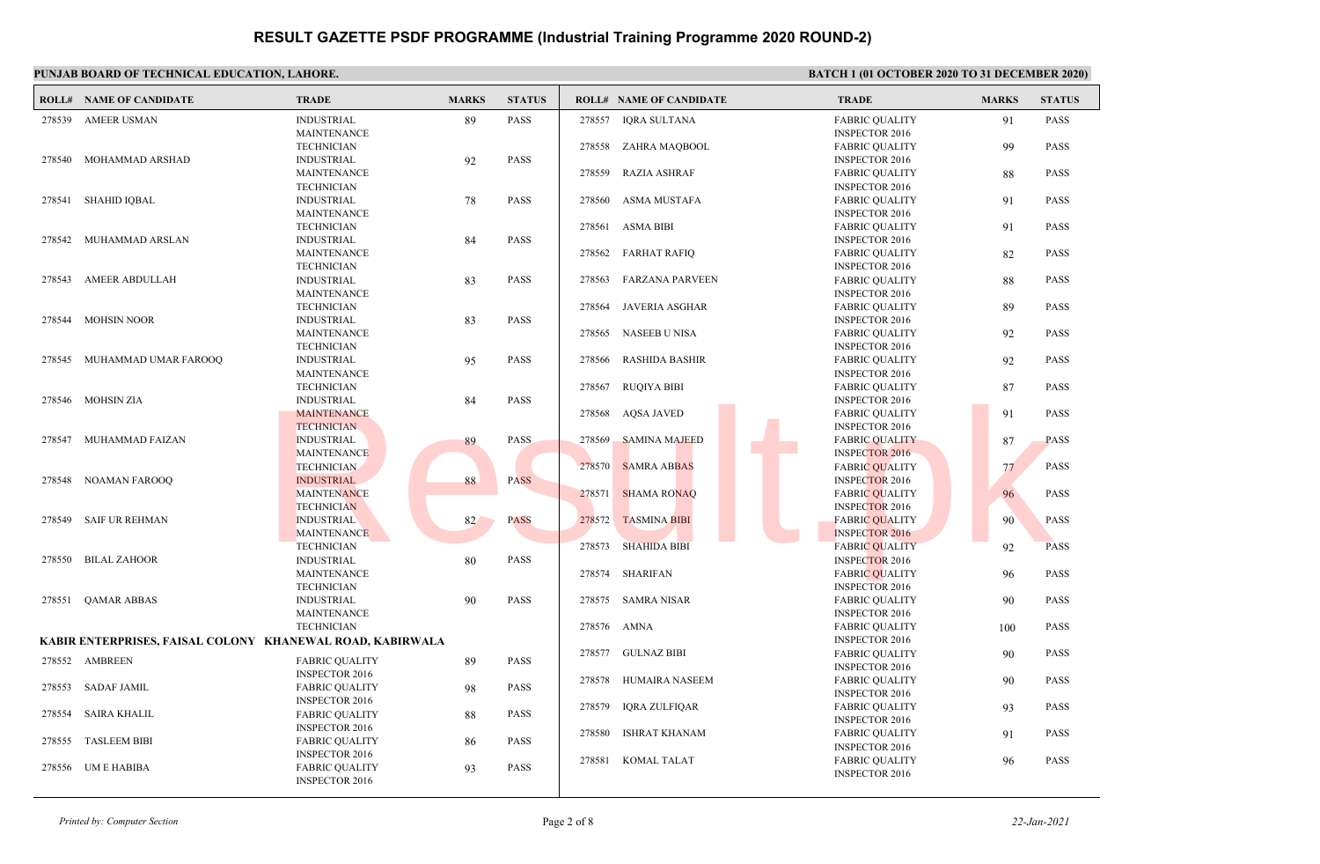|                                                           | PUNJAB BOARD OF TECHNICAL EDUCATION, LAHORE. |                                                              |              | <b>BATCH 1 (01 OCTOBER 2020 TO 31 DECEMBER 2020)</b> |                                                                |                                                                         |              |                            |
|-----------------------------------------------------------|----------------------------------------------|--------------------------------------------------------------|--------------|------------------------------------------------------|----------------------------------------------------------------|-------------------------------------------------------------------------|--------------|----------------------------|
|                                                           | <b>ROLL# NAME OF CANDIDATE</b>               | <b>TRADE</b>                                                 | <b>MARKS</b> | <b>STATUS</b>                                        | <b>ROLL# NAME OF CANDIDATE</b>                                 | <b>TRADE</b>                                                            | <b>MARKS</b> | <b>STATUS</b>              |
| 278539                                                    | <b>AMEER USMAN</b>                           | <b>INDUSTRIAL</b><br><b>MAINTENANCE</b>                      | 89           | <b>PASS</b>                                          | 278557<br>IQRA SULTANA                                         | <b>FABRIC OUALITY</b><br><b>INSPECTOR 2016</b>                          | 91           | <b>PASS</b>                |
| 278540                                                    | MOHAMMAD ARSHAD                              | <b>TECHNICIAN</b><br><b>INDUSTRIAL</b>                       | 92           | <b>PASS</b>                                          | 278558<br>ZAHRA MAQBOOL                                        | <b>FABRIC OUALITY</b><br><b>INSPECTOR 2016</b>                          | 99           | <b>PASS</b>                |
|                                                           |                                              | <b>MAINTENANCE</b><br><b>TECHNICIAN</b>                      |              |                                                      | 278559<br><b>RAZIA ASHRAF</b>                                  | <b>FABRIC QUALITY</b><br><b>INSPECTOR 2016</b>                          | 88           | <b>PASS</b>                |
| 278541                                                    | <b>SHAHID IQBAL</b>                          | <b>INDUSTRIAL</b><br><b>MAINTENANCE</b>                      | 78           | <b>PASS</b>                                          | 278560<br>ASMA MUSTAFA                                         | <b>FABRIC OUALITY</b><br><b>INSPECTOR 2016</b>                          | 91           | <b>PASS</b>                |
|                                                           | 278542 MUHAMMAD ARSLAN                       | <b>TECHNICIAN</b><br><b>INDUSTRIAL</b>                       | 84           | <b>PASS</b>                                          | <b>ASMA BIBI</b><br>278561                                     | <b>FABRIC QUALITY</b><br><b>INSPECTOR 2016</b>                          | 91           | <b>PASS</b>                |
|                                                           |                                              | <b>MAINTENANCE</b><br><b>TECHNICIAN</b>                      |              |                                                      | 278562<br>FARHAT RAFIQ                                         | <b>FABRIC QUALITY</b><br><b>INSPECTOR 2016</b>                          | 82           | <b>PASS</b>                |
|                                                           | 278543 AMEER ABDULLAH                        | <b>INDUSTRIAL</b><br><b>MAINTENANCE</b>                      | 83           | <b>PASS</b>                                          | <b>FARZANA PARVEEN</b><br>278563                               | <b>FABRIC OUALITY</b><br><b>INSPECTOR 2016</b>                          | 88           | <b>PASS</b>                |
|                                                           | 278544 MOHSIN NOOR                           | <b>TECHNICIAN</b><br><b>INDUSTRIAL</b>                       | 83           | <b>PASS</b>                                          | <b>JAVERIA ASGHAR</b><br>278564                                | <b>FABRIC QUALITY</b><br><b>INSPECTOR 2016</b>                          | 89           | <b>PASS</b>                |
|                                                           |                                              | <b>MAINTENANCE</b><br><b>TECHNICIAN</b>                      |              |                                                      | <b>NASEEB U NISA</b><br>278565                                 | <b>FABRIC OUALITY</b><br><b>INSPECTOR 2016</b>                          | 92           | <b>PASS</b>                |
|                                                           | 278545 MUHAMMAD UMAR FAROOQ                  | <b>INDUSTRIAL</b><br><b>MAINTENANCE</b>                      | 95           | <b>PASS</b>                                          | 278566<br><b>RASHIDA BASHIR</b>                                | <b>FABRIC QUALITY</b><br><b>INSPECTOR 2016</b>                          | 92           | <b>PASS</b>                |
|                                                           | 278546 MOHSIN ZIA                            | <b>TECHNICIAN</b><br><b>INDUSTRIAL</b>                       | 84           | <b>PASS</b>                                          | 278567<br><b>RUQIYA BIBI</b>                                   | <b>FABRIC OUALITY</b><br><b>INSPECTOR 2016</b>                          | 87           | <b>PASS</b>                |
|                                                           |                                              | <b>MAINTENANCE</b><br><b>TECHNICIAN</b>                      |              |                                                      | <b>AQSA JAVED</b><br>278568                                    | <b>FABRIC QUALITY</b><br><b>INSPECTOR 2016</b>                          | 91           | <b>PASS</b>                |
| 278547                                                    | MUHAMMAD FAIZAN                              | <b>INDUSTRIAL</b><br><b>MAINTENANCE</b><br><b>TECHNICIAN</b> | 89           | PASS                                                 | 278569<br><b>SAMINA MAJEED</b><br><b>SAMRA ABBAS</b><br>278570 | <b>FABRIC QUALITY</b><br><b>INSPECTOR 2016</b><br><b>FABRIC OUALITY</b> | 87           | <b>PASS</b><br><b>PASS</b> |
|                                                           | 278548 NOAMAN FAROOQ                         | <b>INDUSTRIAL</b><br><b>MAINTENANCE</b>                      | 88           | <b>PASS</b>                                          | 278571<br><b>SHAMA RONAQ</b>                                   | <b>INSPECTOR 2016</b><br><b>FABRIC QUALITY</b>                          | 77<br>96     | <b>PASS</b>                |
| 278549                                                    | <b>SAIF UR REHMAN</b>                        | <b>TECHNICIAN</b><br><b>INDUSTRIAL</b>                       | 82           | <b>PASS</b>                                          | 278572<br><b>TASMINA BIBI</b>                                  | <b>INSPECTOR 2016</b><br><b>FABRIC QUALITY</b>                          | 90           | <b>PASS</b>                |
|                                                           |                                              | <b>MAINTENANCE</b><br><b>TECHNICIAN</b>                      |              |                                                      | 278573<br><b>SHAHIDA BIBI</b>                                  | <b>INSPECTOR 2016</b><br><b>FABRIC QUALITY</b>                          | 92           | <b>PASS</b>                |
| 278550                                                    | BILAL ZAHOOR                                 | <b>INDUSTRIAL</b><br><b>MAINTENANCE</b>                      | 80           | <b>PASS</b>                                          | 278574 SHARIFAN                                                | <b>INSPECTOR 2016</b><br><b>FABRIC QUALITY</b>                          | 96           | <b>PASS</b>                |
| 278551                                                    | <b>QAMAR ABBAS</b>                           | <b>TECHNICIAN</b><br><b>INDUSTRIAL</b>                       | 90           | <b>PASS</b>                                          | 278575<br><b>SAMRA NISAR</b>                                   | <b>INSPECTOR 2016</b><br><b>FABRIC OUALITY</b>                          | 90           | <b>PASS</b>                |
|                                                           |                                              | <b>MAINTENANCE</b><br><b>TECHNICIAN</b>                      |              |                                                      | 278576<br>AMNA                                                 | <b>INSPECTOR 2016</b><br><b>FABRIC QUALITY</b>                          | 100          | <b>PASS</b>                |
| KABIR ENTERPRISES, FAISAL COLONY KHANEWAL ROAD, KABIRWALA |                                              |                                                              |              |                                                      |                                                                | <b>INSPECTOR 2016</b>                                                   |              |                            |
|                                                           | 278552 AMBREEN                               | <b>FABRIC OUALITY</b><br><b>INSPECTOR 2016</b>               | 89           | <b>PASS</b>                                          | 278577<br>GULNAZ BIBI                                          | <b>FABRIC OUALITY</b><br><b>INSPECTOR 2016</b>                          | 90           | <b>PASS</b>                |
| 278553                                                    | <b>SADAF JAMIL</b>                           | <b>FABRIC OUALITY</b><br><b>INSPECTOR 2016</b>               | 98           | <b>PASS</b>                                          | 278578<br>HUMAIRA NASEEM                                       | <b>FABRIC QUALITY</b><br><b>INSPECTOR 2016</b>                          | 90           | <b>PASS</b>                |
| 278554                                                    | <b>SAIRA KHALIL</b>                          | <b>FABRIC QUALITY</b><br><b>INSPECTOR 2016</b>               | 88           | <b>PASS</b>                                          | 278579<br><b>IQRA ZULFIQAR</b>                                 | <b>FABRIC OUALITY</b><br><b>INSPECTOR 2016</b>                          | 93           | <b>PASS</b>                |
| 278555                                                    | <b>TASLEEM BIBI</b>                          | <b>FABRIC OUALITY</b><br><b>INSPECTOR 2016</b>               | 86           | <b>PASS</b>                                          | 278580<br><b>ISHRAT KHANAM</b>                                 | <b>FABRIC QUALITY</b><br><b>INSPECTOR 2016</b>                          | 91           | <b>PASS</b>                |
|                                                           | 278556 UM E HABIBA                           | <b>FABRIC QUALITY</b><br><b>INSPECTOR 2016</b>               | 93           | <b>PASS</b>                                          | 278581<br><b>KOMAL TALAT</b>                                   | <b>FABRIC OUALITY</b><br><b>INSPECTOR 2016</b>                          | 96           | <b>PASS</b>                |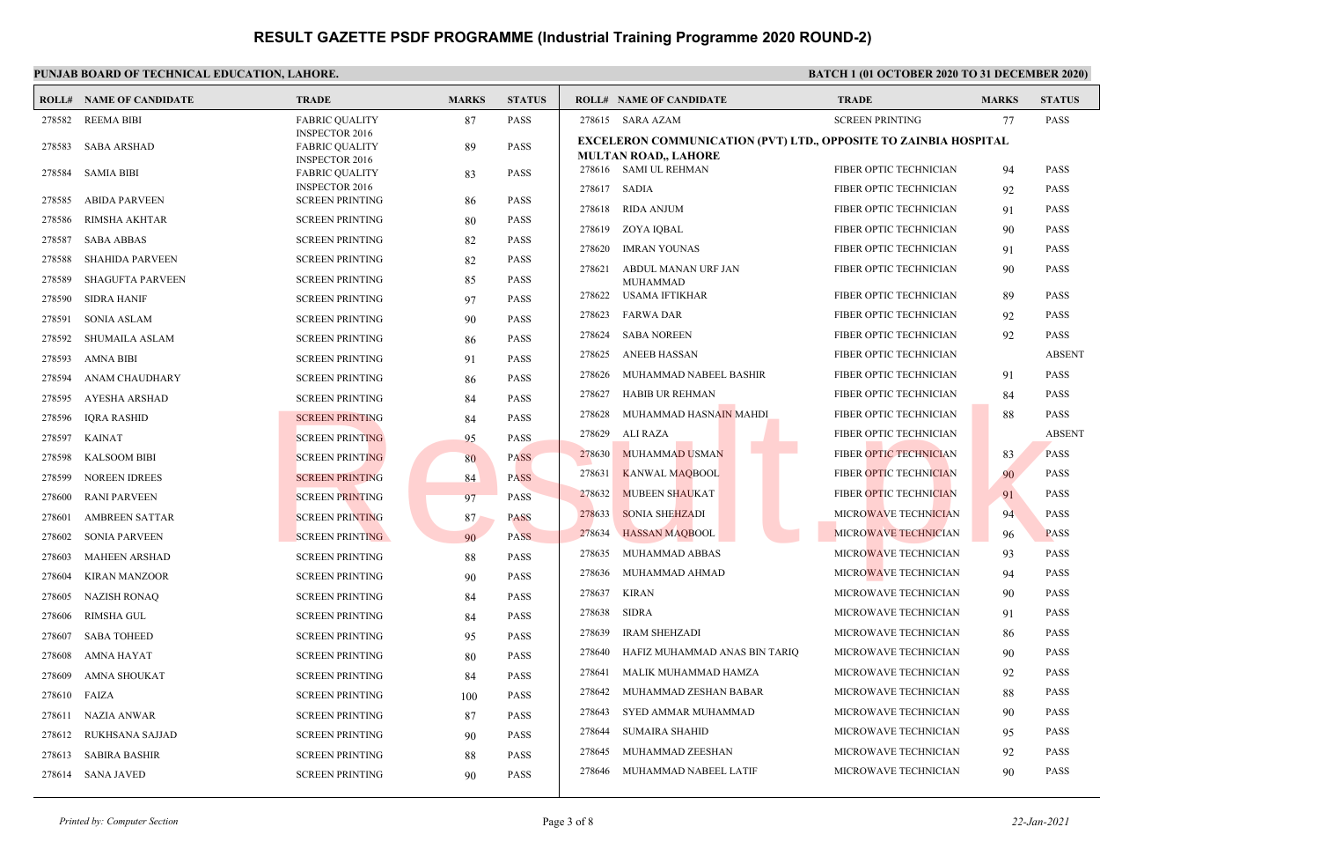### **PUNJAB BOARD OF TECHNICAL EDUCATION, LAHORE. BATCH 1 (01 OCTOBER 2020 TO 31 DECEMBER 2020)**

|        | <b>ROLL# NAME OF CANDIDATE</b> | <b>TRADE</b>                                                            | <b>MARKS</b> | <b>STATUS</b> |        | <b>ROLL# NAME OF CANDIDATE</b>                                                                  | <b>TRADE</b>                  | <b>MARKS</b> | <b>STATUS</b> |
|--------|--------------------------------|-------------------------------------------------------------------------|--------------|---------------|--------|-------------------------------------------------------------------------------------------------|-------------------------------|--------------|---------------|
| 278582 | <b>REEMA BIBI</b>              | <b>FABRIC QUALITY</b>                                                   | 87           | <b>PASS</b>   |        | 278615 SARA AZAM                                                                                | <b>SCREEN PRINTING</b>        | 77           | <b>PASS</b>   |
| 278583 | <b>SABA ARSHAD</b>             | <b>INSPECTOR 2016</b><br><b>FABRIC QUALITY</b><br><b>INSPECTOR 2016</b> | 89           | PASS          |        | EXCELERON COMMUNICATION (PVT) LTD., OPPOSITE TO ZAINBIA HOSPITAL<br><b>MULTAN ROAD,, LAHORE</b> |                               |              |               |
| 278584 | <b>SAMIA BIBI</b>              | <b>FABRIC OUALITY</b>                                                   | 83           | <b>PASS</b>   |        | 278616 SAMI UL REHMAN                                                                           | FIBER OPTIC TECHNICIAN        | 94           | <b>PASS</b>   |
| 278585 | <b>ABIDA PARVEEN</b>           | <b>INSPECTOR 2016</b><br><b>SCREEN PRINTING</b>                         | 86           | <b>PASS</b>   | 278617 | SADIA                                                                                           | FIBER OPTIC TECHNICIAN        | 92           | <b>PASS</b>   |
| 278586 | <b>RIMSHA AKHTAR</b>           | <b>SCREEN PRINTING</b>                                                  | 80           | <b>PASS</b>   | 278618 | <b>RIDA ANJUM</b>                                                                               | FIBER OPTIC TECHNICIAN        | 91           | <b>PASS</b>   |
| 278587 | <b>SABA ABBAS</b>              | <b>SCREEN PRINTING</b>                                                  | 82           | PASS          | 278619 | ZOYA IQBAL                                                                                      | FIBER OPTIC TECHNICIAN        | 90           | <b>PASS</b>   |
| 278588 | <b>SHAHIDA PARVEEN</b>         | <b>SCREEN PRINTING</b>                                                  | 82           | <b>PASS</b>   | 278620 | <b>IMRAN YOUNAS</b>                                                                             | FIBER OPTIC TECHNICIAN        | 91           | <b>PASS</b>   |
| 278589 | <b>SHAGUFTA PARVEEN</b>        | <b>SCREEN PRINTING</b>                                                  | 85           | <b>PASS</b>   | 278621 | ABDUL MANAN URF JAN<br><b>MUHAMMAD</b>                                                          | FIBER OPTIC TECHNICIAN        | 90           | <b>PASS</b>   |
| 278590 | <b>SIDRA HANIF</b>             | <b>SCREEN PRINTING</b>                                                  | 97           | <b>PASS</b>   | 278622 | USAMA IFTIKHAR                                                                                  | FIBER OPTIC TECHNICIAN        | 89           | <b>PASS</b>   |
| 278591 | <b>SONIA ASLAM</b>             | <b>SCREEN PRINTING</b>                                                  | 90           | <b>PASS</b>   | 278623 | <b>FARWA DAR</b>                                                                                | FIBER OPTIC TECHNICIAN        | 92           | <b>PASS</b>   |
| 278592 | <b>SHUMAILA ASLAM</b>          | <b>SCREEN PRINTING</b>                                                  | 86           | <b>PASS</b>   | 278624 | <b>SABA NOREEN</b>                                                                              | FIBER OPTIC TECHNICIAN        | 92           | <b>PASS</b>   |
| 278593 | <b>AMNA BIBI</b>               | <b>SCREEN PRINTING</b>                                                  | 91           | <b>PASS</b>   | 278625 | <b>ANEEB HASSAN</b>                                                                             | FIBER OPTIC TECHNICIAN        |              | <b>ABSENT</b> |
| 278594 | ANAM CHAUDHARY                 | <b>SCREEN PRINTING</b>                                                  | 86           | <b>PASS</b>   | 278626 | MUHAMMAD NABEEL BASHIR                                                                          | FIBER OPTIC TECHNICIAN        | 91           | <b>PASS</b>   |
| 278595 | AYESHA ARSHAD                  | <b>SCREEN PRINTING</b>                                                  | 84           | PASS          | 278627 | <b>HABIB UR REHMAN</b>                                                                          | FIBER OPTIC TECHNICIAN        | 84           | <b>PASS</b>   |
| 278596 | <b>IORA RASHID</b>             | <b>SCREEN PRINTING</b>                                                  | 84           | <b>PASS</b>   | 278628 | MUHAMMAD HASNAIN MAHDI                                                                          | FIBER OPTIC TECHNICIAN        | 88           | <b>PASS</b>   |
| 278597 | <b>KAINAT</b>                  | <b>SCREEN PRINTING</b>                                                  | 95           | <b>PASS</b>   | 278629 | ALI RAZA                                                                                        | FIBER OPTIC TECHNICIAN        |              | <b>ABSENT</b> |
| 278598 | <b>KALSOOM BIBI</b>            | <b>SCREEN PRINTING</b>                                                  | 80           | <b>PASS</b>   | 278630 | <b>MUHAMMAD USMAN</b>                                                                           | FIBER OPTIC TECHNICIAN        | 83           | <b>PASS</b>   |
| 278599 | <b>NOREEN IDREES</b>           | <b>SCREEN PRINTING</b>                                                  | 84           | <b>PASS</b>   | 278631 | <b>KANWAL MAQBOOL</b>                                                                           | FIBER OPTIC TECHNICIAN        | 90           | <b>PASS</b>   |
| 278600 | <b>RANI PARVEEN</b>            | <b>SCREEN PRINTING</b>                                                  | 97           | <b>PASS</b>   | 278632 | <b>MUBEEN SHAUKAT</b>                                                                           | <b>FIBER OPTIC TECHNICIAN</b> | 91           | <b>PASS</b>   |
| 278601 | <b>AMBREEN SATTAR</b>          | <b>SCREEN PRINTING</b>                                                  | 87           | <b>PASS</b>   | 278633 | <b>SONIA SHEHZADI</b>                                                                           | MICROWAVE TECHNICIAN          | 94           | <b>PASS</b>   |
| 278602 | <b>SONIA PARVEEN</b>           | <b>SCREEN PRINTING</b>                                                  | 90           | <b>PASS</b>   | 278634 | <b>HASSAN MAQBOOL</b>                                                                           | MICROWAVE TECHNICIAN          | 96           | <b>PASS</b>   |
| 278603 | <b>MAHEEN ARSHAD</b>           | <b>SCREEN PRINTING</b>                                                  | 88           | <b>PASS</b>   | 278635 | MUHAMMAD ABBAS                                                                                  | MICROWAVE TECHNICIAN          | 93           | <b>PASS</b>   |
| 278604 | <b>KIRAN MANZOOR</b>           | <b>SCREEN PRINTING</b>                                                  | 90           | <b>PASS</b>   | 278636 | MUHAMMAD AHMAD                                                                                  | MICROWAVE TECHNICIAN          | 94           | <b>PASS</b>   |
| 278605 | <b>NAZISH RONAQ</b>            | <b>SCREEN PRINTING</b>                                                  | 84           | <b>PASS</b>   | 278637 | <b>KIRAN</b>                                                                                    | MICROWAVE TECHNICIAN          | 90           | <b>PASS</b>   |
| 278606 | <b>RIMSHA GUL</b>              | <b>SCREEN PRINTING</b>                                                  | 84           | PASS          | 278638 | <b>SIDRA</b>                                                                                    | MICROWAVE TECHNICIAN          | 91           | <b>PASS</b>   |
| 278607 | <b>SABA TOHEED</b>             | <b>SCREEN PRINTING</b>                                                  | 95           | <b>PASS</b>   | 278639 | <b>IRAM SHEHZADI</b>                                                                            | MICROWAVE TECHNICIAN          | 86           | <b>PASS</b>   |
| 278608 | <b>AMNA HAYAT</b>              | <b>SCREEN PRINTING</b>                                                  | 80           | <b>PASS</b>   | 278640 | HAFIZ MUHAMMAD ANAS BIN TARIQ                                                                   | MICROWAVE TECHNICIAN          | 90           | <b>PASS</b>   |
| 278609 | <b>AMNA SHOUKAT</b>            | <b>SCREEN PRINTING</b>                                                  | 84           | <b>PASS</b>   | 278641 | MALIK MUHAMMAD HAMZA                                                                            | MICROWAVE TECHNICIAN          | 92           | <b>PASS</b>   |
| 278610 | FAIZA                          | <b>SCREEN PRINTING</b>                                                  | 100          | <b>PASS</b>   | 278642 | MUHAMMAD ZESHAN BABAR                                                                           | MICROWAVE TECHNICIAN          | 88           | <b>PASS</b>   |
| 278611 | <b>NAZIA ANWAR</b>             | <b>SCREEN PRINTING</b>                                                  | 87           | <b>PASS</b>   | 278643 | SYED AMMAR MUHAMMAD                                                                             | MICROWAVE TECHNICIAN          | 90           | <b>PASS</b>   |
| 278612 | RUKHSANA SAJJAD                | <b>SCREEN PRINTING</b>                                                  | 90           | <b>PASS</b>   | 278644 | <b>SUMAIRA SHAHID</b>                                                                           | MICROWAVE TECHNICIAN          | 95           | <b>PASS</b>   |
| 278613 | <b>SABIRA BASHIR</b>           | <b>SCREEN PRINTING</b>                                                  | 88           | <b>PASS</b>   | 278645 | MUHAMMAD ZEESHAN                                                                                | <b>MICROWAVE TECHNICIAN</b>   | 92           | <b>PASS</b>   |
|        | 278614 SANA JAVED              | <b>SCREEN PRINTING</b>                                                  | 90           | <b>PASS</b>   | 278646 | MUHAMMAD NABEEL LATIF                                                                           | MICROWAVE TECHNICIAN          | 90           | <b>PASS</b>   |
|        |                                |                                                                         |              |               |        |                                                                                                 |                               |              |               |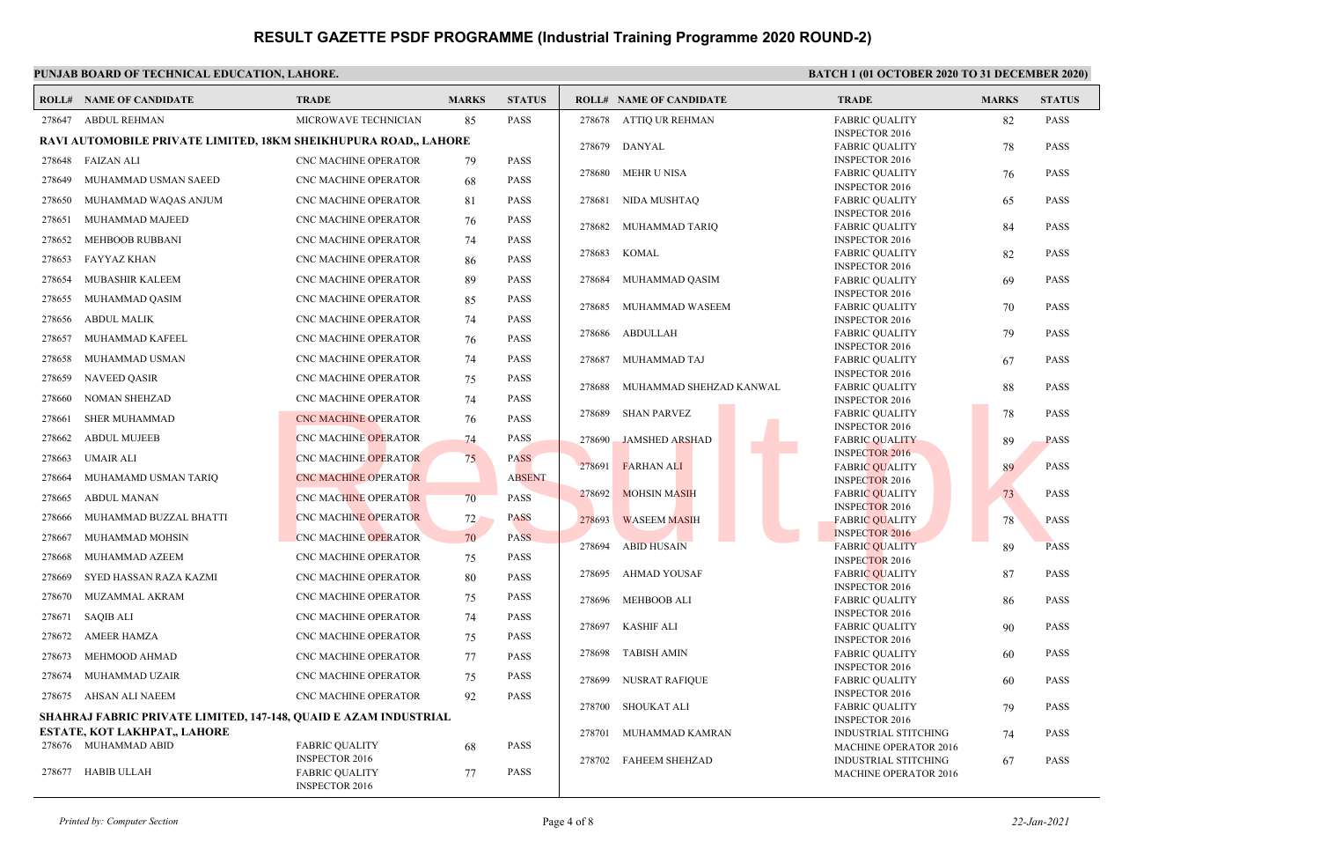#### **PUNJAB BOARD OF TECHNICAL EDUCATION, LAHORE. BATCH 1 (01 OCTOBER 2020 TO 31 DECEMBER 2020) ROLL# NAME OF CANDIDATE TRADE MARKS STATUS ROLL# NAME OF CANDIDATE TRADE MARKS STATUS** 278647 ABDUL REHMAN MICROWAVE TECHNICIAN 85 PASS **RAVI AUTOMOBILE PRIVATE LIMITED, 18KM SHEIKHUPURA ROAD,, LAHORE** 278648 FAIZAN ALI CNC MACHINE OPERATOR 79 PASS 278649 MUHAMMAD USMAN SAEED CNC MACHINE OPERATOR 68 PASS 278650 MUHAMMAD WAQAS ANJUM CNC MACHINE OPERATOR 81 PASS 278651 MUHAMMAD MAJEED CNC MACHINE OPERATOR 76 PASS 278652 MEHBOOB RUBBANI CNC MACHINE OPERATOR 74 PASS 278653 FAYYAZ KHAN CNC MACHINE OPERATOR 86 PASS 278654 MUBASHIR KALEEM CNC MACHINE OPERATOR 89 PASS 278655 MUHAMMAD QASIM CNC MACHINE OPERATOR 85 PASS 278656 ABDUL MALIK CNC MACHINE OPERATOR 74 PASS 278657 MUHAMMAD KAFEEL CNC MACHINE OPERATOR 76 PASS 278658 MUHAMMAD USMAN CNC MACHINE OPERATOR 74 PASS 278659 NAVEED QASIR CNC MACHINE OPERATOR 75 PASS 278660 NOMAN SHEHZAD CNC MACHINE OPERATOR 74 PASS 278661 SHER MUHAMMAD **CNC MACHINE OPERATOR** 76 PASS 278662 ABDUL MUJEEB CNC MACHINE OPERATOR 74 PASS 278663 UMAIR ALI CNC MACHINE OPERATOR 75 PASS 278664 MUHAMAMD USMAN TARIQ CNC MACHINE OPERATOR ABSENT 278665 ABDUL MANAN CNC MACHINE OPERATOR 70 PASS 278666 MUHAMMAD BUZZAL BHATTI CNC MACHINE OPERATOR 72 PASS 278667 MUHAMMAD MOHSIN CNC MACHINE OPERATOR 70 PASS 278668 MUHAMMAD AZEEM CNC MACHINE OPERATOR 75 PASS 278669 SYED HASSAN RAZA KAZMI CNC MACHINE OPERATOR 80 PASS 278670 MUZAMMAL AKRAM CNC MACHINE OPERATOR 75 PASS 278671 SAQIB ALI CNC MACHINE OPERATOR 74 PASS 278672 AMEER HAMZA CNC MACHINE OPERATOR 75 PASS 278673 MEHMOOD AHMAD CNC MACHINE OPERATOR 77 PASS 278674 MUHAMMAD UZAIR CNC MACHINE OPERATOR 75 PASS 278675 AHSAN ALI NAEEM CNC MACHINE OPERATOR 92 PASS **SHAHRAJ FABRIC PRIVATE LIMITED, 147-148, QUAID E AZAM INDUSTRIAL ESTATE, KOT LAKHPAT,, LAHORE** FABRIC QUALITY 68 PASS INSPECTOR 2016 278676 MUHAMMAD ABID FABRIC QUALITY 77 PASS INSPECTOR 2016 278677 HABIB ULLAH FABRIC QUALITY 82 PASS INSPECTOR 2016 278678 ATTIQ UR REHMAN FABRIC QUALITY 78 PASS INSPECTOR 2016 278679 DANYAL FABRIC QUALITY 76 PASS INSPECTOR 2016 278680 MEHR U NISA FABRIC QUALITY 65 PASS INSPECTOR 2016 278681 NIDA MUSHTAQ FABRIC QUALITY 84 PASS INSPECTOR 2016 278682 MUHAMMAD TARIQ FABRIC QUALITY 82 PASS INSPECTOR 2016 278683 KOMAL FABRIC QUALITY 69 PASS INSPECTOR 2016 278684 MUHAMMAD QASIM FABRIC QUALITY 70 PASS INSPECTOR 2016 278685 MUHAMMAD WASEEM FABRIC QUALITY 79 PASS INSPECTOR 2016 278686 ABDULLAH FABRIC QUALITY 67 PASS INSPECTOR 2016 278687 MUHAMMAD TAJ FABRIC QUALITY 88 PASS INSPECTOR 2016 278688 MUHAMMAD SHEHZAD KANWAL FABRIC QUALITY 78 PASS INSPECTOR 2016 278689 SHAN PARVEZ FABRIC QUALITY 89 PASS INSPECTOR 2016 278690 JAMSHED ARSHAD FABRIC QUALITY 89 PASS INSPECTOR 2016 278691 FARHAN ALI FABRIC QUALITY 73 PASS INSPECTOR 2016 278692 MOHSIN MASIH FABRIC QUALITY 78 PASS INSPECTOR 2016 278693 WASEEM MASIH FABRIC OUALITY 89 PASS INSPECTOR 2016 278694 ABID HUSAIN FABRIC QUALITY 87 PASS INSPECTOR 2016 278695 AHMAD YOUSAF FABRIC QUALITY 86 PASS INSPECTOR 2016 278696 MEHBOOB ALI FABRIC QUALITY 90 PASS INSPECTOR 2016 278697 KASHIF ALI FABRIC QUALITY 60 PASS INSPECTOR 2016 278698 TABISH AMIN FABRIC QUALITY 60 PASS INSPECTOR 2016 278699 NUSRAT RAFIQUE FABRIC QUALITY 79 PASS INSPECTOR 2016 278700 SHOUKAT ALI INDUSTRIAL STITCHING 74 PASS MACHINE OPERATOR 2016 278701 MUHAMMAD KAMRAN INDUSTRIAL STITCHING 67 PASS MACHINE OPERATOR 2016 278702 FAHEEM SHEHZAD CNC MACHINE OPERATOR 74 PASS 278699 JAMSHED ARSHAD INSPECTOR 2016<br>
CNC MACHINE OPERATOR 75 PASS 278690 JAMSHED ARSHAD INSPECTOR 2016<br>
CNC MACHINE OPERATOR 75 PASS 278690 JAMSHED ARSHAD INSPECTOR 2016<br>
CNC MACHINE OPERATOR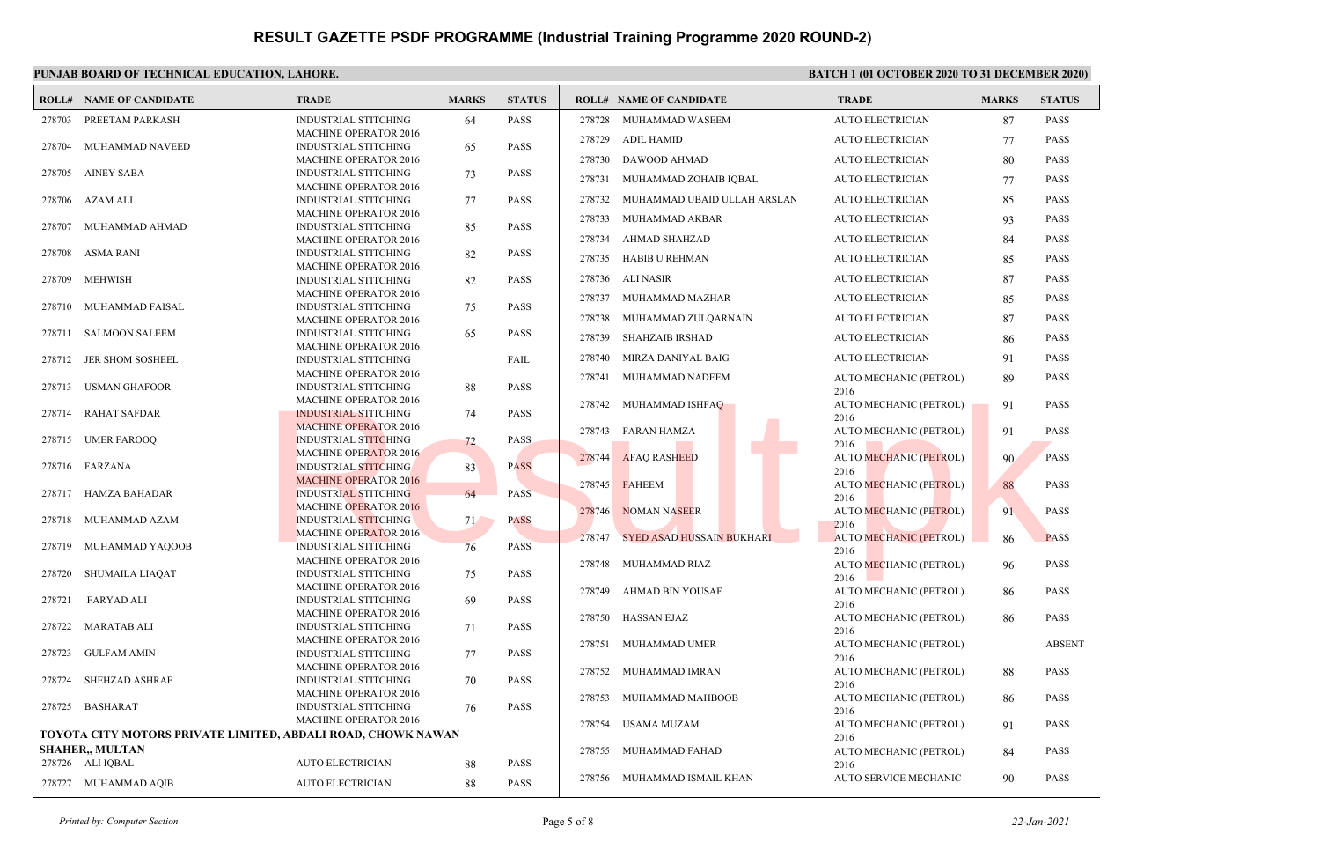#### **PUNJAB BOARD OF TECHNICAL EDUCATION, LAHORE. BATCH 1 (01 OCTOBER 2020 TO 31 DECEMBER 2020) ROLL# NAME OF CANDIDATE TRADE MARKS STATUS ROLL# NAME OF CANDIDATE TRADE MARKS STATUS** INDUSTRIAL STITCHING 64 PASS MACHINE OPERATOR 2016 278703 PREETAM PARKASH INDUSTRIAL STITCHING 65 PASS MACHINE OPERATOR 2016 278704 MUHAMMAD NAVEED INDUSTRIAL STITCHING 73 PASS MACHINE OPERATOR 2016 278705 AINEY SABA INDUSTRIAL STITCHING 77 PASS MACHINE OPERATOR 2016 278706 AZAM ALI INDUSTRIAL STITCHING 85 PASS MACHINE OPERATOR 2016 278707 MUHAMMAD AHMAD INDUSTRIAL STITCHING 82 PASS MACHINE OPERATOR 2016 278708 ASMA RANI INDUSTRIAL STITCHING 82 PASS MACHINE OPERATOR 2016 278709 MEHWISH INDUSTRIAL STITCHING 75 PASS MACHINE OPERATOR 2016 278710 MUHAMMAD FAISAL INDUSTRIAL STITCHING 65 PASS MACHINE OPERATOR 2016 278711 SALMOON SALEEM INDUSTRIAL STITCHING FAIL MACHINE OPERATOR 2016 278712 JER SHOM SOSHEEL INDUSTRIAL STITCHING 88 PASS MACHINE OPERATOR 2016 278713 USMAN GHAFOOR INDUSTRIAL STITCHING 74 PASS MACHINE OPERATOR 2016 278714 RAHAT SAFDAR INDUSTRIAL STITCHING 72 PASS MACHINE OPERATOR 2016 278715 UMER FAROOQ INDUSTRIAL STITCHING 83 PASS MACHINE OPERATOR 2016 278716 FARZANA INDUSTRIAL STITCHING 64 PASS MACHINE OPERATOR 2016 278717 HAMZA BAHADAR INDUSTRIAL STITCHING 71 PASS MACHINE OPERATOR 2016 278718 MUHAMMAD AZAM INDUSTRIAL STITCHING  $76$  PASS MACHINE OPERATOR 2016 278719 MUHAMMAD YAQOOB INDUSTRIAL STITCHING 75 PASS MACHINE OPERATOR 2016 278720 SHUMAILA LIAQAT INDUSTRIAL STITCHING 69 PASS MACHINE OPERATOR 2016 278721 FARYAD ALI INDUSTRIAL STITCHING 71 PASS MACHINE OPERATOR 2016 278722 MARATAB ALI INDUSTRIAL STITCHING 77 PASS MACHINE OPERATOR 2016 278723 GULFAM AMIN INDUSTRIAL STITCHING 70 PASS MACHINE OPERATOR 2016 278724 SHEHZAD ASHRAF INDUSTRIAL STITCHING 76 PASS MACHINE OPERATOR 2016 278725 BASHARAT **TOYOTA CITY MOTORS PRIVATE LIMITED, ABDALI ROAD, CHOWK NAWAN SHAHER,, MULTAN** 278726 ALI IQBAL AUTO ELECTRICIAN 88 PASS 278727 MUHAMMAD AQIB AUTO ELECTRICIAN 88 PASS 278728 MUHAMMAD WASEEM AUTO ELECTRICIAN 87 PASS 278729 ADIL HAMID AUTO ELECTRICIAN 77 PASS 278730 DAWOOD AHMAD AUTO ELECTRICIAN 80 PASS 278731 MUHAMMAD ZOHAIB IQBAL AUTO ELECTRICIAN 77 PASS 278732 MUHAMMAD UBAID ULLAH ARSLAN AUTO ELECTRICIAN 85 PASS 278733 MUHAMMAD AKBAR AUTO ELECTRICIAN 93 PASS 278734 AHMAD SHAHZAD AUTO ELECTRICIAN 84 PASS 278735 HABIB U REHMAN AUTO ELECTRICIAN 85 PASS 278736 ALI NASIR AUTO ELECTRICIAN 87 PASS 278737 MUHAMMAD MAZHAR AUTO ELECTRICIAN 85 PASS 278738 MUHAMMAD ZULQARNAIN AUTO ELECTRICIAN 87 PASS 278739 SHAHZAIB IRSHAD AUTO ELECTRICIAN 86 PASS 278740 MIRZA DANIYAL BAIG AUTO ELECTRICIAN 91 PASS AUTO MECHANIC (PETROL) 89 PASS 2016 278741 MUHAMMAD NADEEM AUTO MECHANIC (PETROL) 91 PASS 2016 278742 MUHAMMAD ISHFAQ AUTO MECHANIC (PETROL) 91 PASS 2016 278743 FARAN HAMZA AUTO MECHANIC (PETROL) 90 PASS 2016 278744 AFAQ RASHEED AUTO MECHANIC (PETROL) 88 PASS 2016 278745 FAHEEM AUTO MECHANIC (PETROL) 91 PASS 2016 278746 NOMAN NASEER AUTO MECHANIC (PETROL) 86 PASS 2016 278747 SYED ASAD HUSSAIN BUKHARI AUTO MECHANIC (PETROL) 96 PASS 2016 278748 MUHAMMAD RIAZ AUTO MECHANIC (PETROL) 86 PASS 2016 278749 AHMAD BIN YOUSAF AUTO MECHANIC (PETROL) 86 PASS 2016 278750 HASSAN EJAZ AUTO MECHANIC (PETROL) ABSENT 2016 278751 MUHAMMAD UMER AUTO MECHANIC (PETROL) 88 PASS 2016 278752 MUHAMMAD IMRAN AUTO MECHANIC (PETROL) 86 PASS 2016 278753 MUHAMMAD MAHBOOB AUTO MECHANIC (PETROL) 91 PASS 2016 278754 USAMA MUZAM AUTO MECHANIC (PETROL) 84 PASS 2016 278755 MUHAMMAD FAHAD 278756 MUHAMMAD ISMAIL KHAN AUTO SERVICE MECHANIC 90 PASS MACHINE OPERATOR 2016<br>
MACHINE OPERATOR 2016<br>
MACHINE OPERATOR 2016<br>
MACHINE OPERATOR 2016<br>
MACHINE OPERATOR 2016<br>
MACHINE OPERATOR 2016<br>
MACHINE OPERATOR 2016<br>
MACHINE OPERATOR 2016<br>
MACHINE OPERATOR 2016<br>
MACHINE OPERATO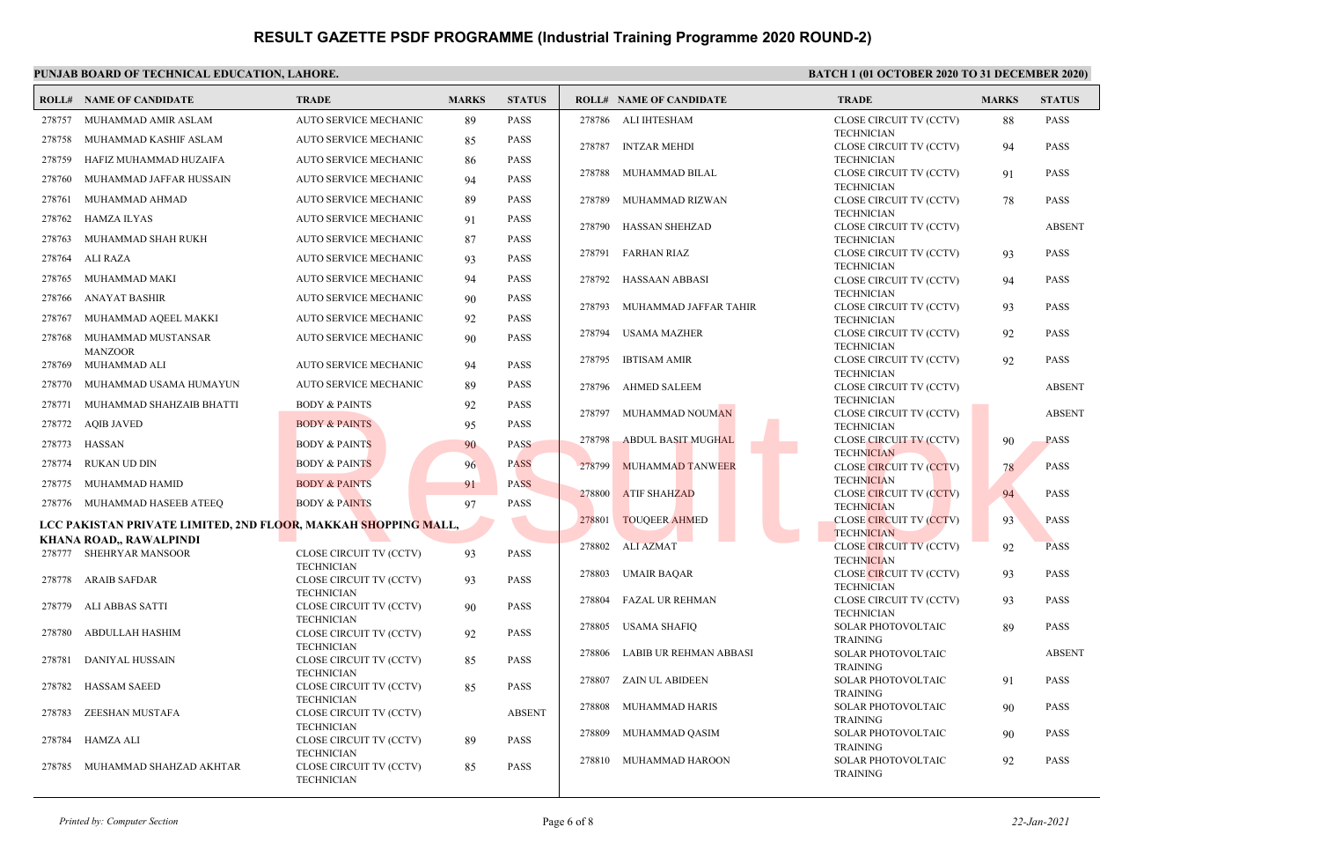#### **PUNJAB BOARD OF TECHNICAL EDUCATION, LAHORE. BATCH 1 (01 OCTOBER 2020 TO 31 DECEMBER 2020) ROLL# NAME OF CANDIDATE TRADE MARKS STATUS ROLL# NAME OF CANDIDATE TRADE MARKS STATUS** 278757 MUHAMMAD AMIR ASLAM AUTO SERVICE MECHANIC 89 PASS 278758 MUHAMMAD KASHIF ASLAM AUTO SERVICE MECHANIC 85 PASS 278759 HAFIZ MUHAMMAD HUZAIFA AUTO SERVICE MECHANIC 86 PASS 278760 MUHAMMAD JAFFAR HUSSAIN AUTO SERVICE MECHANIC 94 PASS 278761 MUHAMMAD AHMAD AUTO SERVICE MECHANIC 89 PASS 278762 HAMZA ILYAS AUTO SERVICE MECHANIC 91 PASS 278763 MUHAMMAD SHAH RUKH AUTO SERVICE MECHANIC 87 PASS 278764 ALI RAZA AUTO SERVICE MECHANIC 93 PASS 278765 MUHAMMAD MAKI AUTO SERVICE MECHANIC 94 PASS 278766 ANAYAT BASHIR AUTO SERVICE MECHANIC 90 PASS 278767 MUHAMMAD AQEEL MAKKI AUTO SERVICE MECHANIC 92 PASS MUHAMMAD MUSTANSAR AUTO SERVICE MECHANIC 90 PASS MANZOOR 278768 278769 MUHAMMAD ALI AUTO SERVICE MECHANIC 94 PASS 278770 MUHAMMAD USAMA HUMAYUN AUTO SERVICE MECHANIC 89 PASS 278771 MUHAMMAD SHAHZAIB BHATTI BODY & PAINTS 92 PASS 278772 AQIB JAVED BODY & PAINTS 95 PASS 278773 HASSAN BODY & PAINTS 90 PASS 278774 RUKAN UD DIN BODY & PAINTS 96 PASS 278775 MUHAMMAD HAMID BODY & PAINTS 91 PASS 278776 MUHAMMAD HASEEB ATEEQ BODY & PAINTS 97 PASS **LCC PAKISTAN PRIVATE LIMITED, 2ND FLOOR, MAKKAH SHOPPING MALL, KHANA ROAD,, RAWALPINDI** CLOSE CIRCUIT TV (CCTV) 93 PASS TECHNICIAN 278777 SHEHRYAR MANSOOR CLOSE CIRCUIT TV (CCTV) 93 PASS **TECHNICIAN**  278778 ARAIB SAFDAR CLOSE CIRCUIT TV (CCTV) 90 PASS TECHNICIAN 278779 ALI ABBAS SATTI CLOSE CIRCUIT TV (CCTV) 92 PASS TECHNICIAN 278780 ABDULLAH HASHIM CLOSE CIRCUIT TV (CCTV) 85 PASS TECHNICIAN 278781 DANIYAL HUSSAIN CLOSE CIRCUIT TV (CCTV) 85 PASS TECHNICIAN 278782 HASSAM SAEED CLOSE CIRCUIT TV (CCTV) ABSENT **TECHNICIAN**  278783 ZEESHAN MUSTAFA CLOSE CIRCUIT TV (CCTV) 89 PASS **TECHNICIAN**  278784 HAMZA ALI CLOSE CIRCUIT TV (CCTV) 85 PASS TECHNICIAN 278785 MUHAMMAD SHAHZAD AKHTAR CLOSE CIRCUIT TV (CCTV) 88 PASS **TECHNICIAN**  278786 ALI IHTESHAM CLOSE CIRCUIT TV (CCTV) 94 PASS TECHNICIAN 278787 INTZAR MEHDI CLOSE CIRCUIT TV (CCTV) 91 PASS TECHNICIAN 278788 MUHAMMAD BILAL CLOSE CIRCUIT TV (CCTV) 78 PASS **TECHNICIAN**  278789 MUHAMMAD RIZWAN CLOSE CIRCUIT TV (CCTV) ABSENT TECHNICIAN 278790 HASSAN SHEHZAD CLOSE CIRCUIT TV (CCTV) 93 PASS TECHNICIAN 278791 FARHAN RIAZ CLOSE CIRCUIT TV (CCTV) 94 PASS TECHNICIAN 278792 HASSAAN ABBASI CLOSE CIRCUIT TV (CCTV) 93 PASS TECHNICIAN 278793 MUHAMMAD JAFFAR TAHIR CLOSE CIRCUIT TV (CCTV) 92 PASS TECHNICIAN 278794 USAMA MAZHER CLOSE CIRCUIT TV (CCTV) 92 PASS TECHNICIAN 278795 IBTISAM AMIR CLOSE CIRCUIT TV (CCTV) ABSENT TECHNICIAN 278796 AHMED SALEEM CLOSE CIRCUIT TV (CCTV) ABSENT TECHNICIAN 278797 MUHAMMAD NOUMAN CLOSE CIRCUIT TV (CCTV) 90 PASS **TECHNICIAN**  278798 ABDUL BASIT MUGHAL CLOSE CIRCUIT TV (CCTV) 78 PASS TECHNICIAN 278799 MUHAMMAD TANWEER CLOSE CIRCUIT TV (CCTV) 94 PASS **TECHNICIAN**  278800 ATIF SHAHZAD CLOSE CIRCUIT TV (CCTV) 93 PASS **TECHNICIAN**  278801 TOUQEER AHMED CLOSE CIRCUIT TV (CCTV) 92 PASS **TECHNICIAN**  278802 ALI AZMAT CLOSE CIRCUIT TV (CCTV) 93 PASS TECHNICIAN 278803 UMAIR BAQAR CLOSE CIRCUIT TV (CCTV) 93 PASS **TECHNICIAN**  278804 FAZAL UR REHMAN SOLAR PHOTOVOLTAIC 89 PASS TRAINING 278805 USAMA SHAFIQ SOLAR PHOTOVOLTAIC ABSENT TRAINING 278806 LABIB UR REHMAN ABBASI SOLAR PHOTOVOLTAIC 91 PASS TRAINING 278807 ZAIN UL ABIDEEN SOLAR PHOTOVOLTAIC 90 PASS TRAINING 278808 MUHAMMAD HARIS SOLAR PHOTOVOLTAIC 90 PASS TRAINING 278809 MUHAMMAD QASIM SOLAR PHOTOVOLTAIC 92 PASS TRAINING 278810 MUHAMMAD HAROON BODY & PAINTS<br>
BODY & PAINTS<br>
BODY & PAINTS<br>
BODY & PAINTS<br>
BODY & PAINTS<br>
BODY & PAINTS<br>
BODY & PAINTS<br>
BODY & PAINTS<br>
BODY & PAINTS<br>
BODY & PAINTS<br>
PASS<br>
PASS<br>
PASS<br>
PASS<br>
PASS<br>
PASS<br>
PASS<br>
PASS<br>
PASS<br>
PASS<br>
PASS<br>
PASS<br>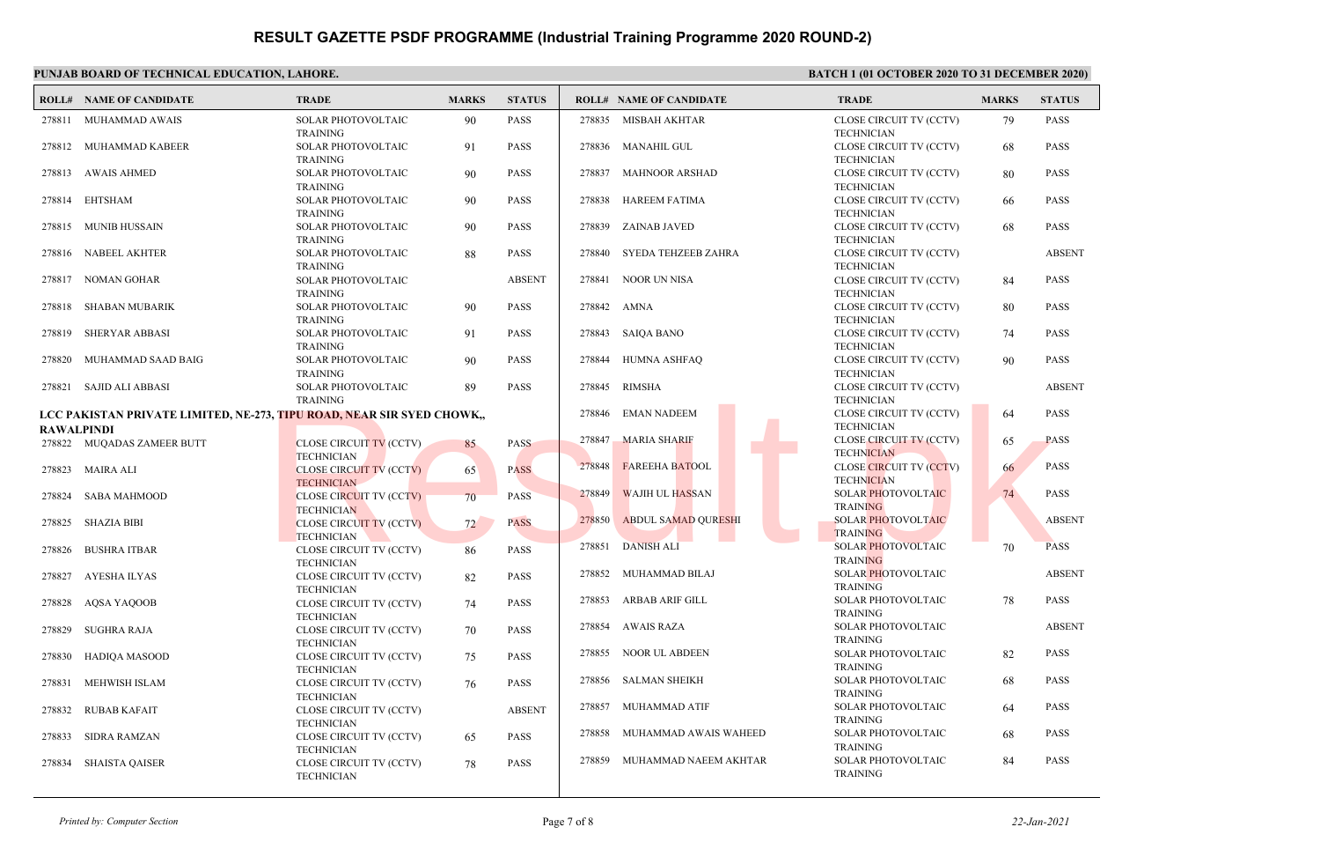#### **PUNJAB BOARD OF TECHNICAL EDUCATION, LAHORE. BATCH 1 (01 OCTOBER 2020 TO 31 DECEMBER 2020) ROLL# NAME OF CANDIDATE TRADE MARKS STATUS ROLL# NAME OF CANDIDATE TRADE MARKS STATUS** SOLAR PHOTOVOLTAIC 90 PASS TRAINING 278811 MUHAMMAD AWAIS SOLAR PHOTOVOLTAIC 91 PASS TRAINING 278812 MUHAMMAD KABEER SOLAR PHOTOVOLTAIC 90 PASS TRAINING 278813 AWAIS AHMED SOLAR PHOTOVOLTAIC 90 PASS TRAINING 278814 EHTSHAM SOLAR PHOTOVOLTAIC 90 PASS TRAINING 278815 MUNIB HUSSAIN SOLAR PHOTOVOLTAIC 88 PASS TRAINING 278816 NABEEL AKHTER SOLAR PHOTOVOLTAIC ABSENT TRAINING 278817 NOMAN GOHAR SOLAR PHOTOVOLTAIC 90 PASS TRAINING 278818 SHABAN MUBARIK SOLAR PHOTOVOLTAIC 91 PASS TRAINING 278819 SHERYAR ABBASI SOLAR PHOTOVOLTAIC 90 PASS TRAINING 278820 MUHAMMAD SAAD BAIG SOLAR PHOTOVOLTAIC 89 PASS TRAINING 278821 SAJID ALI ABBASI **LCC PAKISTAN PRIVATE LIMITED, NE-273, TIPU ROAD, NEAR SIR SYED CHOWK,, RAWALPINDI** CLOSE CIRCUIT TV (CCTV) 85 PASS **TECHNICIAN**  278822 MUQADAS ZAMEER BUTT CLOSE CIRCUIT TV (CCTV) 65 PASS **TECHNICIAN**  278823 MAIRA ALI CLOSE CIRCUIT TV (CCTV) 70 PASS **TECHNICIAN**  278824 SABA MAHMOOD CLOSE CIRCUIT TV (CCTV) 72 PASS **TECHNICIAN**  278825 SHAZIA BIBI CLOSE CIRCUIT TV (CCTV) 86 PASS TECHNICIAN 278826 BUSHRA ITBAR CLOSE CIRCUIT TV (CCTV) 82 PASS TECHNICIAN 278827 AYESHA ILYAS CLOSE CIRCUIT TV (CCTV) 74 PASS **TECHNICIAN**  278828 AQSA YAQOOB CLOSE CIRCUIT TV (CCTV) 70 PASS TECHNICIAN 278829 SUGHRA RAJA CLOSE CIRCUIT TV (CCTV) 75 PASS **TECHNICIAN**  278830 HADIQA MASOOD CLOSE CIRCUIT TV (CCTV) 76 PASS TECHNICIAN 278831 MEHWISH ISLAM CLOSE CIRCUIT TV (CCTV) ABSENT TECHNICIAN 278832 RUBAB KAFAIT CLOSE CIRCUIT TV (CCTV) 65 PASS **TECHNICIAN**  278833 SIDRA RAMZAN CLOSE CIRCUIT TV (CCTV) 78 PASS **TECHNICIAN**  278834 SHAISTA QAISER CLOSE CIRCUIT TV (CCTV) 79 PASS **TECHNICIAN**  278835 MISBAH AKHTAR CLOSE CIRCUIT TV (CCTV) 68 PASS TECHNICIAN 278836 MANAHIL GUL CLOSE CIRCUIT TV (CCTV) 80 PASS TECHNICIAN 278837 MAHNOOR ARSHAD CLOSE CIRCUIT TV (CCTV) 66 PASS TECHNICIAN 278838 HAREEM FATIMA CLOSE CIRCUIT TV (CCTV) 68 PASS TECHNICIAN 278839 ZAINAB JAVED CLOSE CIRCUIT TV (CCTV) ABSENT TECHNICIAN 278840 SYEDA TEHZEEB ZAHRA CLOSE CIRCUIT TV (CCTV) 84 PASS TECHNICIAN 278841 NOOR UN NISA CLOSE CIRCUIT TV (CCTV) 80 PASS TECHNICIAN 278842 AMNA CLOSE CIRCUIT TV (CCTV) 74 PASS TECHNICIAN 278843 SAIQA BANO CLOSE CIRCUIT TV (CCTV) 90 PASS TECHNICIAN 278844 HUMNA ASHFAQ CLOSE CIRCUIT TV (CCTV) ABSENT TECHNICIAN 278845 RIMSHA CLOSE CIRCUIT TV (CCTV) 64 PASS TECHNICIAN 278846 EMAN NADEEM CLOSE CIRCUIT TV (CCTV) 65 PASS **TECHNICIAN**  278847 MARIA SHARIF CLOSE CIRCUIT TV (CCTV) 66 PASS **TECHNICIAN**  278848 FAREEHA BATOOL SOLAR PHOTOVOLTAIC 74 PASS TRAINING 278849 WAJIH UL HASSAN SOLAR PHOTOVOLTAIC ABSENT **TRAINING**  278850 ABDUL SAMAD QURESHI SOLAR PHOTOVOLTAIC 70 PASS TRAINING 278851 DANISH ALI SOLAR PHOTOVOLTAIC ABSENT TRAINING 278852 MUHAMMAD BILAJ SOLAR PHOTOVOLTAIC 78 PASS TRAINING 278853 ARBAB ARIF GILL SOLAR PHOTOVOLTAIC ABSENT TRAINING 278854 AWAIS RAZA SOLAR PHOTOVOLTAIC 82 PASS TRAINING 278855 NOOR UL ABDEEN SOLAR PHOTOVOLTAIC 68 PASS TRAINING 278856 SALMAN SHEIKH SOLAR PHOTOVOLTAIC 64 PASS TRAINING 278857 MUHAMMAD ATIF SOLAR PHOTOVOLTAIC 68 PASS TRAINING 278858 MUHAMMAD AWAIS WAHEED SOLAR PHOTOVOLTAIC 84 PASS TRAINING 278859 MUHAMMAD NAEEM AKHTAR TRAINING<br>
TRAINING<br>
TRAINING<br>
TRAINING<br>
TECHNICIAN<br>
CLOSE CIRCUIT TV (CCTV)<br>
CLOSE CIRCUIT TV (CCTV)<br>
TECHNICIAN<br>
CLOSE CIRCUIT TV (CCTV)<br>
TECHNICIAN<br>
CLOSE CIRCUIT TV (CCTV)<br>
TECHNICIAN<br>
CLOSE CIRCUIT TV (CCTV)<br>
TECHNICIA